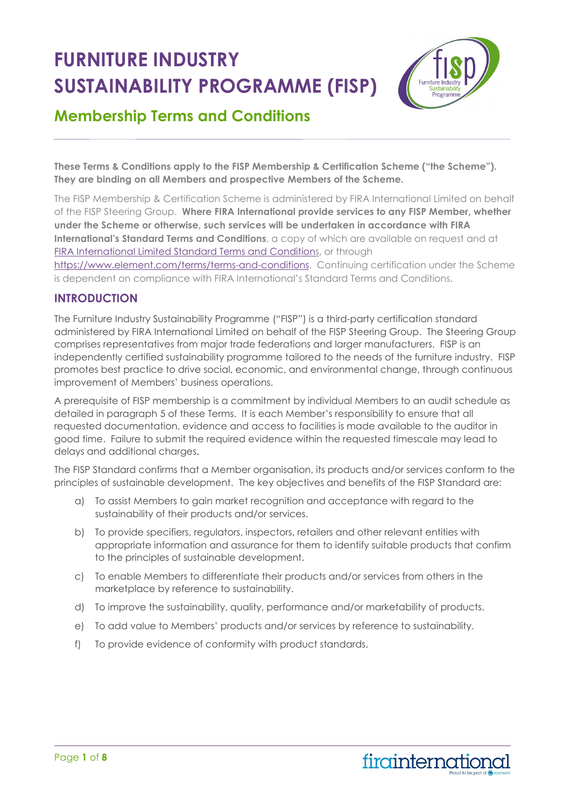# **FURNITURE INDUSTRY SUSTAINABILITY PROGRAMME (FISP)**



# **Membership Terms and Conditions**

**These Terms & Conditions apply to the FISP Membership & Certification Scheme ("the Scheme"). They are binding on all Members and prospective Members of the Scheme.** 

The FISP Membership & Certification Scheme is administered by FIRA International Limited on behalf of the FISP Steering Group. **Where FIRA International provide services to any FISP Member, whether under the Scheme or otherwise, such services will be undertaken in accordance with FIRA International's Standard Terms and Conditions**, a copy of which are available on request and at [FIRA International Limited Standard Terms and Conditions,](https://mc-68095c24-9d47-44d2-a4ee-620361-cdn-endpoint.azureedge.net/-/media/files/terms-and-conditions/standard-terms-of-business/uk/fira-international-limited-standard-terms-of-business.pdf?rev=56c5be101c634291ae012fbfe842b6ad&hash=0E332573490DB131E5C20A2088C19920) or through [https://www.element.com/terms/terms-and-conditions.](https://www.element.com/terms/terms-and-conditions) Continuing certification under the Scheme is dependent on compliance with FIRA International's Standard Terms and Conditions.

### **INTRODUCTION**

The Furniture Industry Sustainability Programme ("FISP") is a third-party certification standard administered by FIRA International Limited on behalf of the FISP Steering Group. The Steering Group comprises representatives from major trade federations and larger manufacturers. FISP is an independently certified sustainability programme tailored to the needs of the furniture industry. FISP promotes best practice to drive social, economic, and environmental change, through continuous improvement of Members' business operations.

A prerequisite of FISP membership is a commitment by individual Members to an audit schedule as detailed in paragraph 5 of these Terms. It is each Member's responsibility to ensure that all requested documentation, evidence and access to facilities is made available to the auditor in good time. Failure to submit the required evidence within the requested timescale may lead to delays and additional charges.

The FISP Standard confirms that a Member organisation, its products and/or services conform to the principles of sustainable development. The key objectives and benefits of the FISP Standard are:

- a) To assist Members to gain market recognition and acceptance with regard to the sustainability of their products and/or services.
- b) To provide specifiers, regulators, inspectors, retailers and other relevant entities with appropriate information and assurance for them to identify suitable products that confirm to the principles of sustainable development.
- c) To enable Members to differentiate their products and/or services from others in the marketplace by reference to sustainability.
- d) To improve the sustainability, quality, performance and/or marketability of products.
- e) To add value to Members' products and/or services by reference to sustainability.
- f) To provide evidence of conformity with product standards.

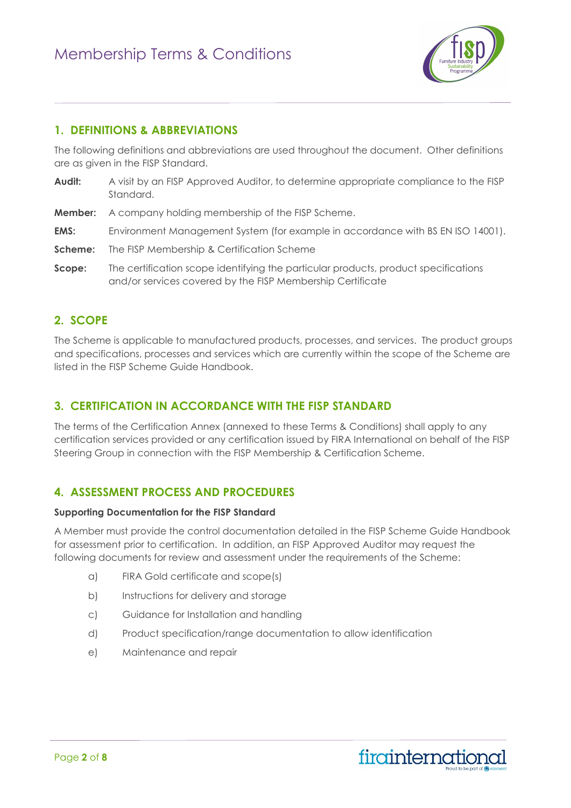

### **1. DEFINITIONS & ABBREVIATIONS**

The following definitions and abbreviations are used throughout the document. Other definitions are as given in the FISP Standard.

- Audit: A visit by an FISP Approved Auditor, to determine appropriate compliance to the FISP Standard.
- **Member:** A company holding membership of the FISP Scheme.
- **EMS:** Environment Management System (for example in accordance with BS EN ISO 14001).
- **Scheme:** The FISP Membership & Certification Scheme
- **Scope:** The certification scope identifying the particular products, product specifications and/or services covered by the FISP Membership Certificate

### **2. SCOPE**

The Scheme is applicable to manufactured products, processes, and services. The product groups and specifications, processes and services which are currently within the scope of the Scheme are listed in the FISP Scheme Guide Handbook.

### **3. CERTIFICATION IN ACCORDANCE WITH THE FISP STANDARD**

The terms of the Certification Annex (annexed to these Terms & Conditions) shall apply to any certification services provided or any certification issued by FIRA International on behalf of the FISP Steering Group in connection with the FISP Membership & Certification Scheme.

### **4. ASSESSMENT PROCESS AND PROCEDURES**

#### **Supporting Documentation for the FISP Standard**

A Member must provide the control documentation detailed in the FISP Scheme Guide Handbook for assessment prior to certification. In addition, an FISP Approved Auditor may request the following documents for review and assessment under the requirements of the Scheme:

- a) FIRA Gold certificate and scope(s)
- b) Instructions for delivery and storage
- c) Guidance for Installation and handling
- d) Product specification/range documentation to allow identification
- e) Maintenance and repair

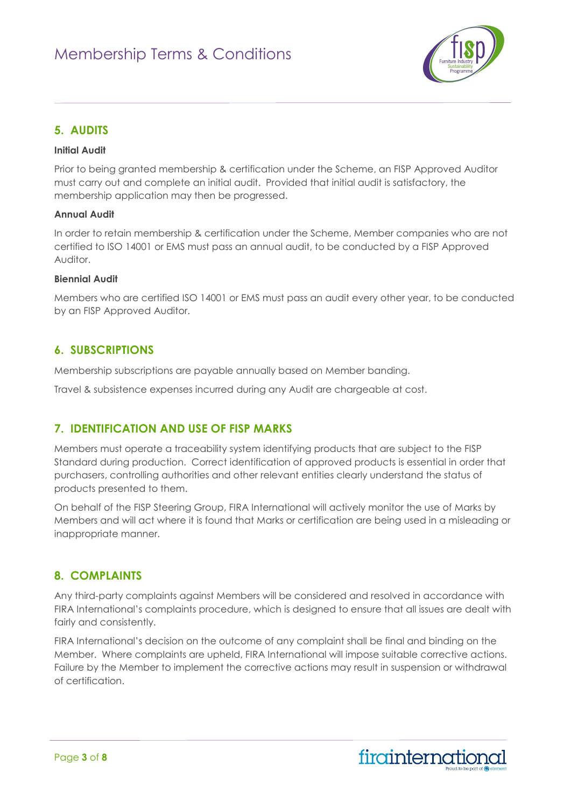

### **5. AUDITS**

#### **Initial Audit**

Prior to being granted membership & certification under the Scheme, an FISP Approved Auditor must carry out and complete an initial audit. Provided that initial audit is satisfactory, the membership application may then be progressed.

#### **Annual Audit**

In order to retain membership & certification under the Scheme, Member companies who are not certified to ISO 14001 or EMS must pass an annual audit, to be conducted by a FISP Approved Auditor.

#### **Biennial Audit**

Members who are certified ISO 14001 or EMS must pass an audit every other year, to be conducted by an FISP Approved Auditor.

### **6. SUBSCRIPTIONS**

Membership subscriptions are payable annually based on Member banding.

Travel & subsistence expenses incurred during any Audit are chargeable at cost.

### **7. IDENTIFICATION AND USE OF FISP MARKS**

Members must operate a traceability system identifying products that are subject to the FISP Standard during production. Correct identification of approved products is essential in order that purchasers, controlling authorities and other relevant entities clearly understand the status of products presented to them.

On behalf of the FISP Steering Group, FIRA International will actively monitor the use of Marks by Members and will act where it is found that Marks or certification are being used in a misleading or inappropriate manner.

### **8. COMPLAINTS**

Any third-party complaints against Members will be considered and resolved in accordance with FIRA International's complaints procedure, which is designed to ensure that all issues are dealt with fairly and consistently.

FIRA International's decision on the outcome of any complaint shall be final and binding on the Member. Where complaints are upheld, FIRA International will impose suitable corrective actions. Failure by the Member to implement the corrective actions may result in suspension or withdrawal of certification.

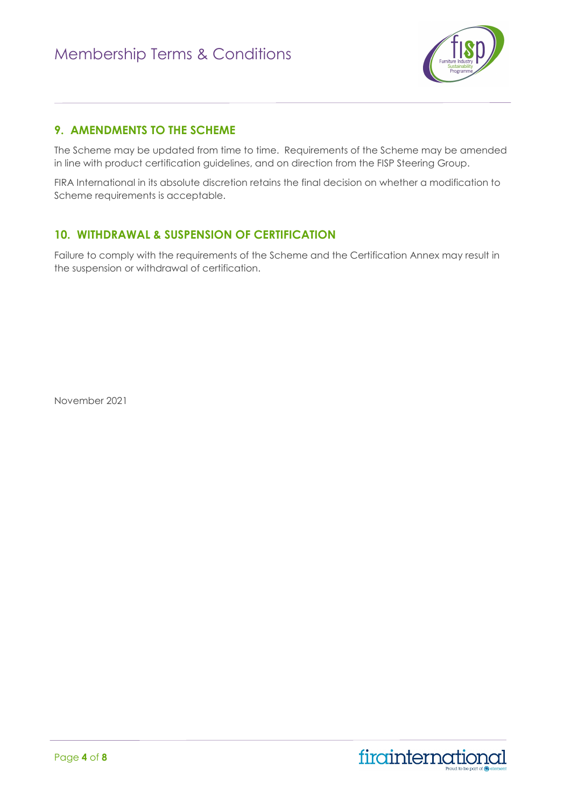

### **9. AMENDMENTS TO THE SCHEME**

The Scheme may be updated from time to time. Requirements of the Scheme may be amended in line with product certification guidelines, and on direction from the FISP Steering Group.

FIRA International in its absolute discretion retains the final decision on whether a modification to Scheme requirements is acceptable.

### **10. WITHDRAWAL & SUSPENSION OF CERTIFICATION**

Failure to comply with the requirements of the Scheme and the Certification Annex may result in the suspension or withdrawal of certification.

November 2021

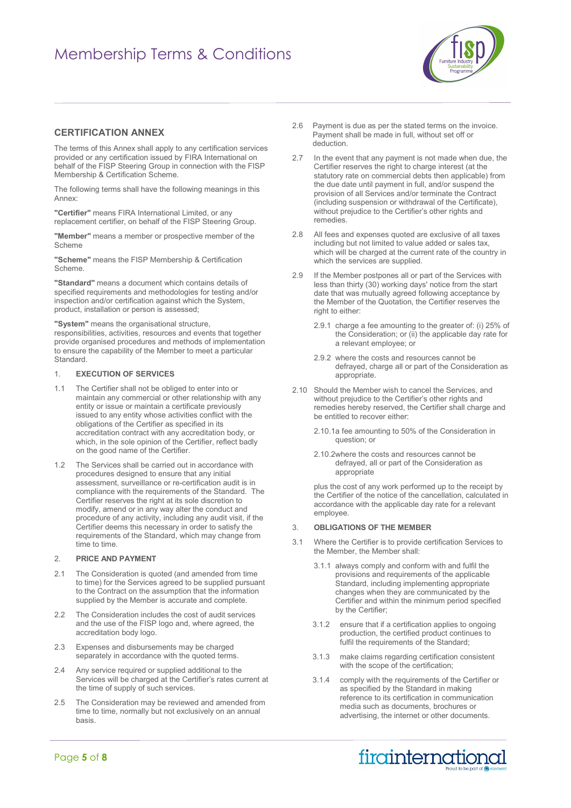# Membership Terms & Conditions



#### **CERTIFICATION ANNEX**

The terms of this Annex shall apply to any certification services provided or any certification issued by FIRA International on behalf of the FISP Steering Group in connection with the FISP Membership & Certification Scheme.

The following terms shall have the following meanings in this Annex:

**"Certifier"** means FIRA International Limited, or any replacement certifier, on behalf of the FISP Steering Group.

**"Member"** means a member or prospective member of the Scheme

**"Scheme"** means the FISP Membership & Certification Scheme.

**"Standard"** means a document which contains details of specified requirements and methodologies for testing and/or inspection and/or certification against which the System, product, installation or person is assessed;

**"System"** means the organisational structure,

responsibilities, activities, resources and events that together provide organised procedures and methods of implementation to ensure the capability of the Member to meet a particular Standard.

#### 1. **EXECUTION OF SERVICES**

- 1.1 The Certifier shall not be obliged to enter into or maintain any commercial or other relationship with any entity or issue or maintain a certificate previously issued to any entity whose activities conflict with the obligations of the Certifier as specified in its accreditation contract with any accreditation body, or which, in the sole opinion of the Certifier, reflect badly on the good name of the Certifier.
- 1.2 The Services shall be carried out in accordance with procedures designed to ensure that any initial assessment, surveillance or re-certification audit is in compliance with the requirements of the Standard. The Certifier reserves the right at its sole discretion to modify, amend or in any way alter the conduct and procedure of any activity, including any audit visit, if the Certifier deems this necessary in order to satisfy the requirements of the Standard, which may change from time to time.

#### 2. **PRICE AND PAYMENT**

- 2.1 The Consideration is quoted (and amended from time to time) for the Services agreed to be supplied pursuant to the Contract on the assumption that the information supplied by the Member is accurate and complete.
- 2.2 The Consideration includes the cost of audit services and the use of the FISP logo and, where agreed, the accreditation body logo.
- 2.3 Expenses and disbursements may be charged separately in accordance with the quoted terms.
- 2.4 Any service required or supplied additional to the Services will be charged at the Certifier's rates current at the time of supply of such services.
- 2.5 The Consideration may be reviewed and amended from time to time, normally but not exclusively on an annual basis.
- 2.6 Payment is due as per the stated terms on the invoice. Payment shall be made in full, without set off or deduction.
- 2.7 In the event that any payment is not made when due, the Certifier reserves the right to charge interest (at the statutory rate on commercial debts then applicable) from the due date until payment in full, and/or suspend the provision of all Services and/or terminate the Contract (including suspension or withdrawal of the Certificate), without prejudice to the Certifier's other rights and remedies.
- 2.8 All fees and expenses quoted are exclusive of all taxes including but not limited to value added or sales tax, which will be charged at the current rate of the country in which the services are supplied.
- 2.9 If the Member postpones all or part of the Services with less than thirty (30) working days' notice from the start date that was mutually agreed following acceptance by the Member of the Quotation, the Certifier reserves the right to either:
	- 2.9.1 charge a fee amounting to the greater of: (i) 25% of the Consideration; or (ii) the applicable day rate for a relevant employee; or
	- 2.9.2 where the costs and resources cannot be defrayed, charge all or part of the Consideration as appropriate.
- 2.10 Should the Member wish to cancel the Services, and without prejudice to the Certifier's other rights and remedies hereby reserved, the Certifier shall charge and be entitled to recover either:
	- 2.10.1a fee amounting to 50% of the Consideration in question; or
	- 2.10.2where the costs and resources cannot be defrayed, all or part of the Consideration as appropriate

plus the cost of any work performed up to the receipt by the Certifier of the notice of the cancellation, calculated in accordance with the applicable day rate for a relevant employee.

#### 3. **OBLIGATIONS OF THE MEMBER**

- 3.1 Where the Certifier is to provide certification Services to the Member, the Member shall:
	- 3.1.1 always comply and conform with and fulfil the provisions and requirements of the applicable Standard, including implementing appropriate changes when they are communicated by the Certifier and within the minimum period specified by the Certifier;
	- 3.1.2 ensure that if a certification applies to ongoing production, the certified product continues to fulfil the requirements of the Standard;
	- 3.1.3 make claims regarding certification consistent with the scope of the certification;
	- 3.1.4 comply with the requirements of the Certifier or as specified by the Standard in making reference to its certification in communication media such as documents, brochures or advertising, the internet or other documents.

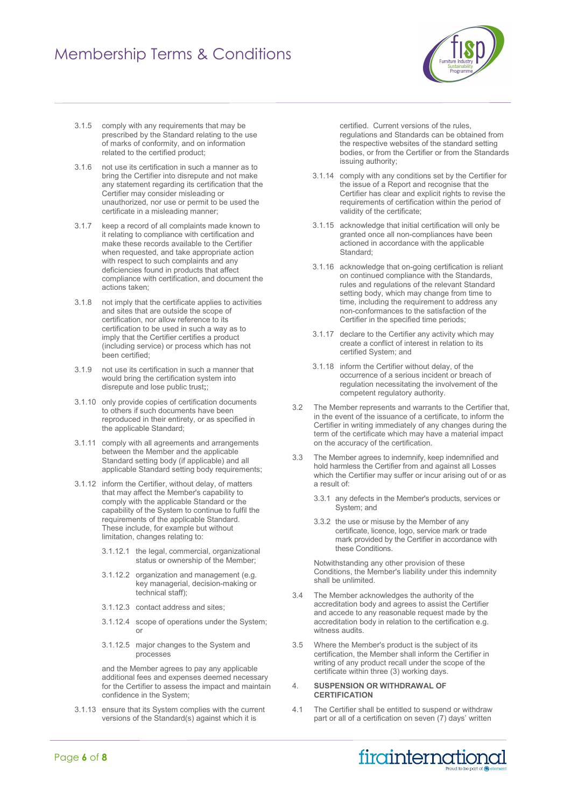# Membership Terms & Conditions



- 3.1.5 comply with any requirements that may be prescribed by the Standard relating to the use of marks of conformity, and on information related to the certified product;
- 3.1.6 not use its certification in such a manner as to bring the Certifier into disrepute and not make any statement regarding its certification that the Certifier may consider misleading or unauthorized, nor use or permit to be used the certificate in a misleading manner;
- 3.1.7 keep a record of all complaints made known to it relating to compliance with certification and make these records available to the Certifier when requested, and take appropriate action with respect to such complaints and any deficiencies found in products that affect compliance with certification, and document the actions taken;
- 3.1.8 not imply that the certificate applies to activities and sites that are outside the scope of certification, nor allow reference to its certification to be used in such a way as to imply that the Certifier certifies a product (including service) or process which has not been certified;
- 3.1.9 not use its certification in such a manner that would bring the certification system into disrepute and lose public trust**;**;
- 3.1.10 only provide copies of certification documents to others if such documents have been reproduced in their entirety, or as specified in the applicable Standard;
- 3.1.11 comply with all agreements and arrangements between the Member and the applicable Standard setting body (if applicable) and all applicable Standard setting body requirements;
- 3.1.12 inform the Certifier, without delay, of matters that may affect the Member's capability to comply with the applicable Standard or the capability of the System to continue to fulfil the requirements of the applicable Standard. These include, for example but without limitation, changes relating to:
	- 3.1.12.1 the legal, commercial, organizational status or ownership of the Member;
	- 3.1.12.2 organization and management (e.g. key managerial, decision-making or technical staff);
	- 3.1.12.3 contact address and sites;
	- 3.1.12.4 scope of operations under the System; or
	- 3.1.12.5 major changes to the System and processes

and the Member agrees to pay any applicable additional fees and expenses deemed necessary for the Certifier to assess the impact and maintain confidence in the System;

3.1.13 ensure that its System complies with the current versions of the Standard(s) against which it is

certified. Current versions of the rules, regulations and Standards can be obtained from the respective websites of the standard setting bodies, or from the Certifier or from the Standards issuing authority;

- 3.1.14 comply with any conditions set by the Certifier for the issue of a Report and recognise that the Certifier has clear and explicit rights to revise the requirements of certification within the period of validity of the certificate;
- 3.1.15 acknowledge that initial certification will only be granted once all non-compliances have been actioned in accordance with the applicable Standard;
- 3.1.16 acknowledge that on-going certification is reliant on continued compliance with the Standards, rules and regulations of the relevant Standard setting body, which may change from time to time, including the requirement to address any non-conformances to the satisfaction of the Certifier in the specified time periods;
- 3.1.17 declare to the Certifier any activity which may create a conflict of interest in relation to its certified System; and
- 3.1.18 inform the Certifier without delay, of the occurrence of a serious incident or breach of regulation necessitating the involvement of the competent regulatory authority.
- 3.2 The Member represents and warrants to the Certifier that, in the event of the issuance of a certificate, to inform the Certifier in writing immediately of any changes during the term of the certificate which may have a material impact on the accuracy of the certification.
- 3.3 The Member agrees to indemnify, keep indemnified and hold harmless the Certifier from and against all Losses which the Certifier may suffer or incur arising out of or as a result of:
	- 3.3.1 any defects in the Member's products, services or System; and
	- 3.3.2 the use or misuse by the Member of any certificate, licence, logo, service mark or trade mark provided by the Certifier in accordance with these Conditions.

Notwithstanding any other provision of these Conditions, the Member's liability under this indemnity shall be unlimited.

- 3.4 The Member acknowledges the authority of the accreditation body and agrees to assist the Certifier and accede to any reasonable request made by the accreditation body in relation to the certification e.g. witness audits.
- 3.5 Where the Member's product is the subject of its certification, the Member shall inform the Certifier in writing of any product recall under the scope of the certificate within three (3) working days.

#### 4. **SUSPENSION OR WITHDRAWAL OF CERTIFICATION**

4.1 The Certifier shall be entitled to suspend or withdraw part or all of a certification on seven (7) days' written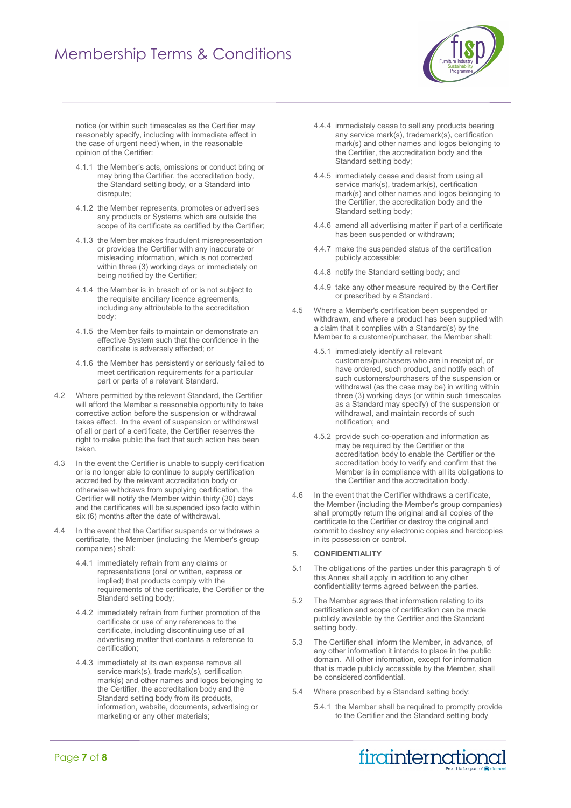# Membership Terms & Conditions



notice (or within such timescales as the Certifier may reasonably specify, including with immediate effect in the case of urgent need) when, in the reasonable opinion of the Certifier:

- 4.1.1 the Member's acts, omissions or conduct bring or may bring the Certifier, the accreditation body, the Standard setting body, or a Standard into disrepute;
- 4.1.2 the Member represents, promotes or advertises any products or Systems which are outside the scope of its certificate as certified by the Certifier;
- 4.1.3 the Member makes fraudulent misrepresentation or provides the Certifier with any inaccurate or misleading information, which is not corrected within three (3) working days or immediately on being notified by the Certifier;
- 4.1.4 the Member is in breach of or is not subject to the requisite ancillary licence agreements, including any attributable to the accreditation body;
- 4.1.5 the Member fails to maintain or demonstrate an effective System such that the confidence in the certificate is adversely affected; or
- 4.1.6 the Member has persistently or seriously failed to meet certification requirements for a particular part or parts of a relevant Standard.
- 4.2 Where permitted by the relevant Standard, the Certifier will afford the Member a reasonable opportunity to take corrective action before the suspension or withdrawal takes effect. In the event of suspension or withdrawal of all or part of a certificate, the Certifier reserves the right to make public the fact that such action has been taken.
- 4.3 In the event the Certifier is unable to supply certification or is no longer able to continue to supply certification accredited by the relevant accreditation body or otherwise withdraws from supplying certification, the Certifier will notify the Member within thirty (30) days and the certificates will be suspended ipso facto within six (6) months after the date of withdrawal.
- 4.4 In the event that the Certifier suspends or withdraws a certificate, the Member (including the Member's group companies) shall:
	- 4.4.1 immediately refrain from any claims or representations (oral or written, express or implied) that products comply with the requirements of the certificate, the Certifier or the Standard setting body;
	- 4.4.2 immediately refrain from further promotion of the certificate or use of any references to the certificate, including discontinuing use of all advertising matter that contains a reference to certification;
	- 4.4.3 immediately at its own expense remove all service mark(s), trade mark(s), certification mark(s) and other names and logos belonging to the Certifier, the accreditation body and the Standard setting body from its products, information, website, documents, advertising or marketing or any other materials;
- 4.4.4 immediately cease to sell any products bearing any service mark(s), trademark(s), certification mark(s) and other names and logos belonging to the Certifier, the accreditation body and the Standard setting body;
- 4.4.5 immediately cease and desist from using all service mark(s), trademark(s), certification mark(s) and other names and logos belonging to the Certifier, the accreditation body and the Standard setting body;
- 4.4.6 amend all advertising matter if part of a certificate has been suspended or withdrawn;
- 4.4.7 make the suspended status of the certification publicly accessible;
- 4.4.8 notify the Standard setting body; and
- 4.4.9 take any other measure required by the Certifier or prescribed by a Standard.
- 4.5 Where a Member's certification been suspended or withdrawn, and where a product has been supplied with a claim that it complies with a Standard(s) by the Member to a customer/purchaser, the Member shall:
	- 4.5.1 immediately identify all relevant customers/purchasers who are in receipt of, or have ordered, such product, and notify each of such customers/purchasers of the suspension or withdrawal (as the case may be) in writing within three (3) working days (or within such timescales as a Standard may specify) of the suspension or withdrawal, and maintain records of such notification; and
	- 4.5.2 provide such co-operation and information as may be required by the Certifier or the accreditation body to enable the Certifier or the accreditation body to verify and confirm that the Member is in compliance with all its obligations to the Certifier and the accreditation body.
- 4.6 In the event that the Certifier withdraws a certificate, the Member (including the Member's group companies) shall promptly return the original and all copies of the certificate to the Certifier or destroy the original and commit to destroy any electronic copies and hardcopies in its possession or control.

#### 5. **CONFIDENTIALITY**

- 5.1 The obligations of the parties under this paragraph 5 of this Annex shall apply in addition to any other confidentiality terms agreed between the parties.
- 5.2 The Member agrees that information relating to its certification and scope of certification can be made publicly available by the Certifier and the Standard setting body.
- 5.3 The Certifier shall inform the Member, in advance, of any other information it intends to place in the public domain. All other information, except for information that is made publicly accessible by the Member, shall be considered confidential.
- 5.4 Where prescribed by a Standard setting body:
	- 5.4.1 the Member shall be required to promptly provide to the Certifier and the Standard setting body